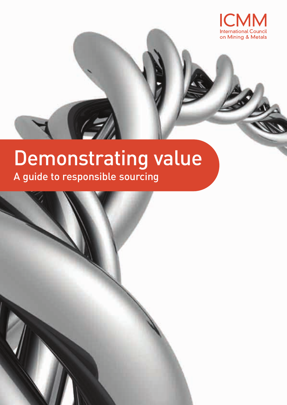

# Demonstrating value A guide to responsible sourcing

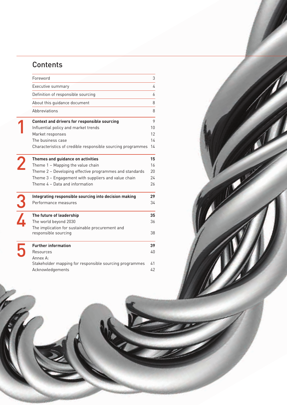# **Contents**

| Foreword                                                    | 3               |
|-------------------------------------------------------------|-----------------|
| Executive summary                                           | 4               |
| Definition of responsible sourcing                          | 6               |
| About this guidance document                                | 8               |
| Abbreviations                                               | 8               |
| <b>Context and drivers for responsible sourcing</b>         | 9               |
| Influential policy and market trends                        | 10 <sup>1</sup> |
| Market responses                                            | 12              |
| The business case                                           | $14^{1}$        |
| Characteristics of credible responsible sourcing programmes | 14              |
| Themes and guidance on activities                           | 15              |
| Theme 1 - Mapping the value chain                           | 16              |
| Theme 2 - Developing effective programmes and standards     | 20              |
| Theme 3 - Engagement with suppliers and value chain         | 24              |
| Theme 4 - Data and information                              | 26              |
| Integrating responsible sourcing into decision making       | 29              |
| Performance measures                                        | 34              |
| The future of leadership                                    | 35              |
| The world beyond 2030                                       | 36              |
| The implication for sustainable procurement and             |                 |
| responsible sourcing                                        | 38              |
| <b>Further information</b>                                  | 39              |
| Resources                                                   | 40              |
| Annex A:                                                    |                 |
| Stakeholder mapping for responsible sourcing programmes     | 41              |
| Acknowledgements                                            | 42              |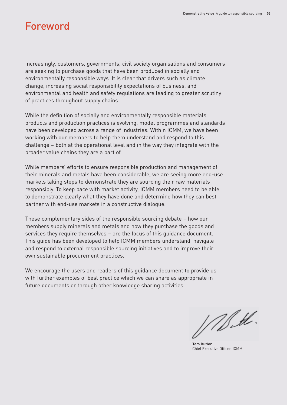# Foreword

Increasingly, customers, governments, civil society organisations and consumers are seeking to purchase goods that have been produced in socially and environmentally responsible ways. It is clear that drivers such as climate change, increasing social responsibility expectations of business, and environmental and health and safety regulations are leading to greater scrutiny of practices throughout supply chains.

While the definition of socially and environmentally responsible materials, products and production practices is evolving, model programmes and standards have been developed across a range of industries. Within ICMM, we have been working with our members to help them understand and respond to this challenge – both at the operational level and in the way they integrate with the broader value chains they are a part of.

While members' efforts to ensure responsible production and management of their minerals and metals have been considerable, we are seeing more end-use markets taking steps to demonstrate they are sourcing their raw materials responsibly. To keep pace with market activity, ICMM members need to be able to demonstrate clearly what they have done and determine how they can best partner with end-use markets in a constructive dialogue.

These complementary sides of the responsible sourcing debate – how our members supply minerals and metals and how they purchase the goods and services they require themselves – are the focus of this guidance document. This guide has been developed to help ICMM members understand, navigate and respond to external responsible sourcing initiatives and to improve their own sustainable procurement practices.

We encourage the users and readers of this guidance document to provide us with further examples of best practice which we can share as appropriate in future documents or through other knowledge sharing activities.

 $1/10$ ith.

**Tom Butler** Chief Executive Officer, ICMM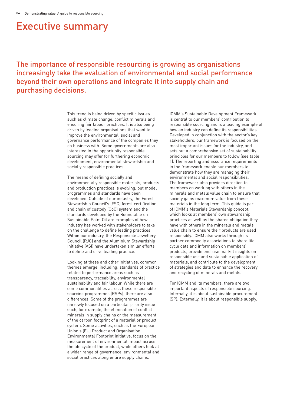# Executive summary

The importance of responsible resourcing is growing as organisations increasingly take the evaluation of environmental and social performance beyond their own operations and integrate it into supply chain and purchasing decisions.

> This trend is being driven by specific issues such as climate change, conflict minerals and ensuring fair labour practices. It is also being driven by leading organisations that want to improve the environmental, social and governance performance of the companies they do business with. Some governments are also interested in the opportunity responsible sourcing may offer for furthering economic development, environmental stewardship and socially responsible practices.

> The means of defining socially and environmentally responsible materials, products and production practices is evolving, but model programmes and standards have been developed. Outside of our industry, the Forest Stewardship Council's (FSC) forest certification and chain of custody (CoC) system and the standards developed by the Roundtable on Sustainable Palm Oil are examples of how industry has worked with stakeholders to take on the challenge to define leading practices. Within our industry, the Responsible Jewellery Council (RJC) and the Aluminium Stewardship Initiative (ASI) have undertaken similar efforts to define and drive leading practice.

Looking at these and other initiatives, common themes emerge, including: standards of practice related to performance areas such as transparency, traceability, environmental sustainability and fair labour. While there are some commonalities across these responsible sourcing programmes (RSPs), there are also differences. Some of the programmes are narrowly focused on a particular priority issue such, for example, the elimination of conflict minerals in supply chains or the measurement of the carbon footprint of a material or product system. Some activities, such as the European Union's (EU) Product and Organisation Environmental Footprint initiative, focus on the measurement of environmental impact across the life cycle of the product, while others look at a wider range of governance, environmental and social practices along entire supply chains.

ICMM's Sustainable Development Framework is central to our members' contribution to responsible sourcing and is a leading example of how an industry can define its responsibilities. Developed in conjunction with the sector's key stakeholders, our framework is focused on the most important issues for the industry, and sets out a comprehensive set of sustainability principles for our members to follow (see table 1). The reporting and assurance requirements in the framework enable our members to demonstrate how they are managing their environmental and social responsibilities. The framework also provides direction to members on working with others in the minerals and metals value chain to ensure that society gains maximum value from these materials in the long term. This guide is part of ICMM's Materials Stewardship concept, which looks at members' own stewardship practices as well as the shared obligation they have with others in the minerals and metals value chain to ensure their products are used responsibly. ICMM also works through its partner commodity associations to share life cycle data and information on members' products, provide end-use market insights on responsible use and sustainable application of materials, and contribute to the development of strategies and data to enhance the recovery and recycling of minerals and metals.

For ICMM and its members, there are two important aspects of responsible sourcing. Internally, it is about sustainable procurement (SP). Externally, it is about responsible supply.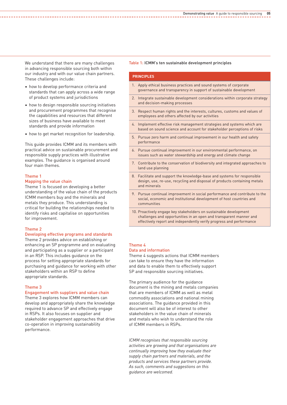We understand that there are many challenges in advancing responsible sourcing both within our industry and with our value chain partners. These challenges include:

- how to develop performance criteria and standards that can apply across a wide range of product systems and jurisdictions
- how to design responsible sourcing initiatives and procurement programmes that recognise the capabilities and resources that different sizes of business have available to meet standards and provide information
- how to get market recognition for leadership.

This guide provides ICMM and its members with practical advice on sustainable procurement and responsible supply practices with illustrative examples. The guidance is organised around four main themes.

## Theme 1

## Mapping the value chain

Theme 1 is focused on developing a better understanding of the value chain of the products ICMM members buy and the minerals and metals they produce. This understanding is critical for building the relationships needed to identify risks and capitalise on opportunities for improvement.

#### Theme 2

## Developing effective programs and standards

Theme 2 provides advice on establishing or enhancing an SP programme and on evaluating and participating as a supplier or a participant in an RSP. This includes guidance on the process for setting appropriate standards for purchasing and guidance for working with other stakeholders within an RSP to define appropriate standards.

## Theme 3

#### Engagement with suppliers and value chain

Theme 3 explores how ICMM members can develop and appropriately share the knowledge required to advance SP and effectively engage in RSPs. It also focuses on supplier and stakeholder engagement approaches that drive co-operation in improving sustainability performance.

#### Table 1: ICMM's ten sustainable development principles

## **PRINCIPLES**

- 1. Apply ethical business practices and sound systems of corporate governance and transparency in support of sustainable development
- 2. Integrate sustainable development considerations within corporate strategy and decision-making processes
- 3. Respect human rights and the interests, cultures, customs and values of employees and others affected by our activities
- 4. Implement effective risk management strategies and systems which are based on sound science and account for stakeholder perceptions of risks
- 5. Pursue zero harm and continual improvement in our health and safety performance
- 6. Pursue continual improvement in our environmental performance, on issues such as water stewardship and energy and climate change
- 7. Contribute to the conservation of biodiversity and integrated approaches to land use planning
- 8. Facilitate and support the knowledge-base and systems for responsible design, use, re-use, recycling and disposal of products containing metals and minerals
- 9. Pursue continual improvement in social performance and contribute to the social, economic and institutional development of host countries and communities
- 10. Proactively engage key stakeholders on sustainable development challenges and opportunities in an open and transparent manner and effectively report and independently verify progress and performance

## Theme 4

## Data and information

Theme 4 suggests actions that ICMM members can take to ensure they have the information and data to enable them to effectively support SP and responsible sourcing initiatives.

The primary audience for the guidance document is the mining and metals companies that are members of ICMM as well as metal commodity associations and national mining associations. The guidance provided in this document will also be of interest to other stakeholders in the value chain of minerals and metals who wish to understand the role of ICMM members in RSPs.

*ICMM recognises that responsible sourcing activities are growing and that organisations are continually improving how they evaluate their supply chain partners and materials, and the products and services these partners provide. As such, comments and suggestions on this guidance are welcomed.*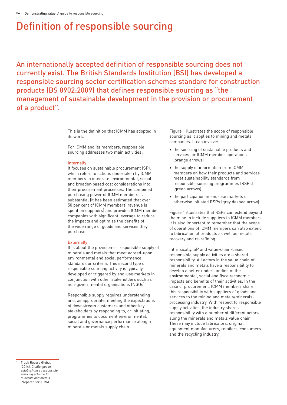#### **06** Demonstrating value A guide to responsible sourcing

# Definition of responsible sourcing

An internationally accepted definition of responsible sourcing does not currently exist. The British Standards Institution (BSI) has developed a responsible sourcing sector certification schemes standard for construction products (BS 8902:2009) that defines responsible sourcing as "the management of sustainable development in the provision or procurement of a product".

> This is the definition that ICMM has adopted in its work.

For ICMM and its members, responsible sourcing addresses two main activities:

#### **Internally**

It focuses on sustainable procurement (SP), which refers to actions undertaken by ICMM members to integrate environmental, social and broader-based cost considerations into their procurement processes. The combined purchasing power of ICMM members is substantial (it has been estimated that over 50 per cent of ICMM members' revenue is spent on suppliers) and provides ICMM member companies with significant leverage to reduce the impacts and optimise the benefits of the wide range of goods and services they purchase.

#### **Externally**

It is about the provision or responsible supply of minerals and metals that meet agreed-upon environmental and social performance standards or criteria. This second type of responsible sourcing activity is typically developed or triggered by end-use markets in conjunction with other stakeholders such as non-governmental organisations (NGOs).

Responsible supply requires understanding and, as appropriate, meeting the expectations of downstream customers and other key stakeholders by responding to, or initiating, programmes to document environmental, social and governance performance along a minerals or metals supply chain.

Figure 1 illustrates the scope of responsible sourcing as it applies to mining and metals companies. It can involve:

- the sourcing of sustainable products and services for ICMM member operations (orange arrows)
- the supply of information from ICMM members on how their products and services meet sustainability standards from responsible sourcing programmes (RSPs) (green arrows)
- the participation in end-use markets or otherwise initiated RSPs (grey dashed arrow).

Figure 1 illustrates that RSPs can extend beyond the mine to include suppliers to ICMM members. It is also important to remember that the scope of operations of ICMM members can also extend to fabrication of products as well as metals recovery and re-refining.

Intrinsically, SP and value-chain-based responsible supply activities are a shared responsibility. All actors in the value chain of minerals and metals have a responsibility to develop a better understanding of the environmental, social and fiscal/economic impacts and benefits of their activities. In the case of procurement, ICMM members share this responsibility with suppliers of goods and services to the mining and metals/mineralsprocessing industry. With respect to responsible supply activities, the industry shares responsibility with a number of different actors along the minerals and metals value chain. These may include fabricators, original equipment manufacturers, retailers, consumers and the recycling industry.<sup>1</sup>

1 Track Record Global (2014). *Challenges in establishing a responsible sourcing scheme for minerals and metals.*  Prepared for ICMM.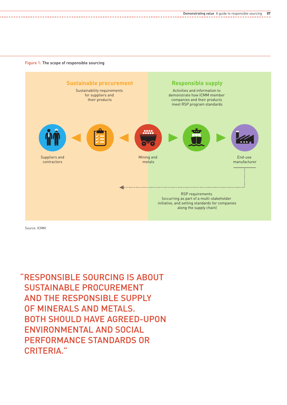Figure 1: The scope of responsible sourcing



Source: ICMM.

"RESPONSIBLE SOURCING IS ABOUT SUSTAINABLE PROCUREMENT AND THE RESPONSIBLE SUPPLY OF MINERALS AND METALS. BOTH SHOULD HAVE AGREED-UPON ENVIRONMENTAL AND SOCIAL PERFORMANCE STANDARDS OR CRITERIA."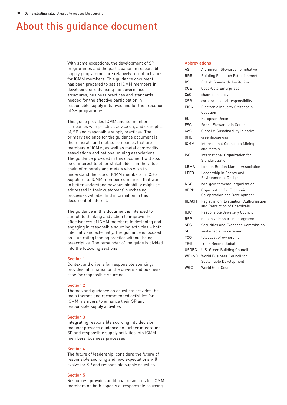# About this guidance document

With some exceptions, the development of SP programmes and the participation in responsible supply programmes are relatively recent activities for ICMM members. This guidance document has been prepared to assist ICMM members in developing or enhancing the governance structures, business practices and standards needed for the effective participation in responsible supply initiatives and for the execution of SP programmes.

This guide provides ICMM and its member companies with practical advice on, and examples of, SP and responsible supply practices. The primary audience for the guidance document is the minerals and metals companies that are members of ICMM, as well as metal commodity associations and national mining associations. The guidance provided in this document will also be of interest to other stakeholders in the value chain of minerals and metals who wish to understand the role of ICMM members in RSPs. Suppliers to ICMM member companies that want to better understand how sustainability might be addressed in their customers' purchasing processes will also find information in this document of interest.

The guidance in this document is intended to stimulate thinking and action to improve the effectiveness of ICMM members in designing and engaging in responsible sourcing activities – both internally and externally. The guidance is focused on illustrating leading practice without being prescriptive. The remainder of the guide is divided into the following sections:

#### Section 1

Context and drivers for responsible sourcing: provides information on the drivers and business case for responsible sourcing

#### Section 2

Themes and guidance on activities: provides the main themes and recommended activities for ICMM members to enhance their SP and responsible supply activities

#### Section 3

Integrating responsible sourcing into decision making: provides guidance on further integrating SP and responsible supply activities into ICMM members' business processes

## Section 4

The future of leadership: considers the future of responsible sourcing and how expectations will evolve for SP and responsible supply activities

#### Section 5

Resources: provides additional resources for ICMM members on both aspects of responsible sourcing.

#### Abbreviations

| ASI             | Aluminium Stewardship Initiative                                        |
|-----------------|-------------------------------------------------------------------------|
| <b>BRF</b>      | <b>Building Research Establishment</b>                                  |
| BSI             | <b>British Standards Institution</b>                                    |
| CCE             | Coca-Cola Enterprises                                                   |
| CoC             | chain of custody                                                        |
| <b>CSR</b>      | corporate social responsibility                                         |
| <b>EICC</b>     | Electronic Industry Citizenship                                         |
|                 | Coalition                                                               |
| EU              | European Union                                                          |
| FSC             | Forest Stewardship Council                                              |
| GeSI            | Global e-Sustainability Initiative                                      |
| GHG             | greenhouse gas                                                          |
| <b>ICMM</b>     | International Council on Mining<br>and Metals                           |
| ISO             | International Organization for<br>Standardization                       |
| LBMA            | London Bullion Market Association                                       |
| I FFD           | Leadership in Energy and<br><b>Environmental Design</b>                 |
| NGO             | non-governmental organisation                                           |
| <b>OECD</b>     | Organisation for Economic<br>Co-operation and Development               |
| <b>REACH</b>    | Registration, Evaluation, Authorisation<br>and Restriction of Chemicals |
| RJC             | Responsible Jewellery Council                                           |
| <b>RSP</b>      | responsible sourcing programme                                          |
| <b>SEC</b>      | Securities and Exchange Commission                                      |
| SP              | sustainable procurement                                                 |
| TC <sub>0</sub> | total cost of ownership                                                 |
| <b>TRG</b>      | <b>Track Record Global</b>                                              |
| USGBC           | U.S. Green Building Council                                             |
| <b>WBCSD</b>    | World Business Council for                                              |
|                 | Sustainable Development                                                 |
| WGC             | World Gold Council                                                      |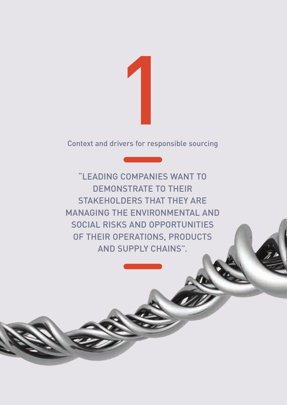

Context and drivers for responsible sourcing

"LEADING COMPANIES WANT TO DEMONSTRATE TO THEIR STAKEHOLDERS THAT THEY ARE MANAGING THE ENVIRONMENTAL AND SOCIAL RISKS AND OPPORTUNITIES OF THEIR OPERATIONS, PRODUCTS AND SUPPLY CHAINS".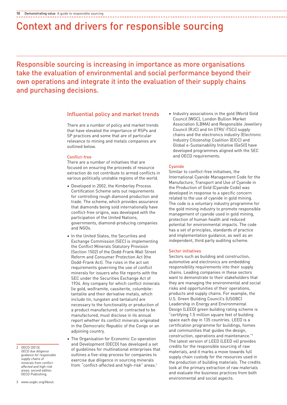# Context and drivers for responsible sourcing

Responsible sourcing is increasing in importance as more organisations take the evaluation of environmental and social performance beyond their own operations and integrate it into the evaluation of their supply chains and purchasing decisions.

## Influential policy and market trends

There are a number of policy and market trends that have elevated the importance of RSPs and SP practices and some that are of particular relevance to mining and metals companies are outlined below.

#### Conflict-free

There are a number of initiatives that are focused on ensuring the proceeds of resource extraction do not contribute to armed conflicts in various politically unstable regions of the world.

- Developed in 2002, the [Kimberley Process](http://www.kimberleyprocess.com/)  [Certification Scheme](http://www.kimberleyprocess.com/) sets out requirements for controlling rough diamond production and trade. The scheme, which provides assurance that diamonds being sold internationally have conflict-free origins, was developed with the participation of the United Nations, governments, diamond-producing companies and NGOs.
- In the United States, the Securities and Exchange Commission (SEC) is implementing the Conflict Minerals Statutory Provision (Section 1502) of the Dodd-Frank Wall Street Reform and Consumer Protection Act (the Dodd-Frank Act). The rules in the act set requirements governing the use of conflict minerals for issuers who file reports with the SEC under the Securities Exchange Act of 1934. Any company for which conflict minerals (ie gold, wolframite, cassiterite, columbitetantalite and their derivative metals, which include tin, tungsten and tantalum) are necessary to the functionality or production of a product manufactured, or contracted to be manufactured, must disclose in its annual report whether its conflict minerals originated in the Democratic Republic of the Congo or an adjoining country.
- The Organisation for Economic Co-operation and Development (OECD) has developed a set of guidelines for multinational enterprises that outlines a five-step process for companies to exercise due diligence in sourcing minerals from "conflict-affected and high-risk" areas.2

• Industry associations in the gold [\(World Gold](http://www.gold.org/)  [Council \(WGC\),](http://www.gold.org/) [London Bullion Market](http://www.lbma.org.uk/)  [Association \(LBMA\)](http://www.lbma.org.uk/) and Responsible Jewellery Council (RJC) and tin (ITRI/ iTSCi) supply chains and the electronics industry [\(Electronic](http://www.eiccoalition.org/)  [Industry Citizenship Coalition \(EICC\)](http://www.eiccoalition.org/) and [Global e-Sustainability Initiative \(GeSI\)\)](http://gesi.org/) have developed programmes aligned with the SEC and OECD requirements.

## **Cyanide**

Similar to conflict-free initiatives, the [International Cyanide Management Code](http://www.cyanidecode.org/) for the Manufacture, Transport and Use of Cyanide in the Production of Gold (Cyanide Code) was developed in response to a specific concern related to the use of cyanide in gold mining. The code is a voluntary industry programme for the gold mining industry to promote responsible management of cyanide used in gold mining, protection of human health and reduced potential for environmental impacts. The code has a set of principles, standards of practice and implementation guidance, as well as an independent, third party auditing scheme.

#### Sector initiatives

Sectors such as building and construction, automotive and electronics are embedding responsibility requirements into their supply chains. Leading companies in these sectors want to demonstrate to their stakeholders that they are managing the environmental and social risks and opportunities of their operations, products and supply chains. For example, the U.S. Green Building Council's (USGBC) [Leadership in Energy and Environmental](http://www.usgbc.org/LEED)  [Design \(LEED\)](http://www.usgbc.org/LEED) green building rating scheme is "certifying 1.5 million square feet of building space each day in 135 countries. LEED is a certification programme for buildings, homes and communities that guides the design, construction, operations and maintenance."3 The latest version of LEED (LEED v4) provides credits for the responsible sourcing of raw materials, and it marks a move towards full supply chain custody for the resources used in the production of building materials. The credits look at the primary extraction of raw materials and evaluate the business practices from both environmental and social aspects.

2 [OECD \(2013\).](http://www.oecd.org/corporate/mne/mining.htm)  *[OECD due diligence](http://www.oecd.org/corporate/mne/mining.htm)  [guidance for responsible](http://www.oecd.org/corporate/mne/mining.htm)  [supply chains of](http://www.oecd.org/corporate/mne/mining.htm)  [minerals from conflict](http://www.oecd.org/corporate/mne/mining.htm)[affected and high-risk](http://www.oecd.org/corporate/mne/mining.htm)  [areas: second edition](http://www.oecd.org/corporate/mne/mining.htm)*. OECD Publishing.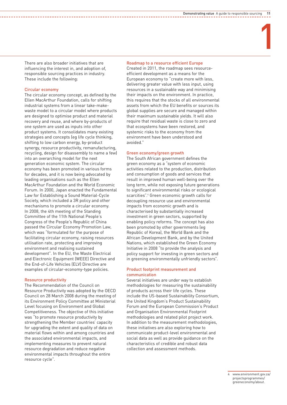There are also broader initiatives that are influencing the interest in, and adoption of, responsible sourcing practices in industry. These include the following:

## Circular economy

The circular economy concept, as defined by the [Ellen MacArthur Foundation,](http://www.ellenmacarthurfoundation.org/publications) calls for shifting industrial systems from a linear take-makewaste model to a circular model where products are designed to optimise product and material recovery and reuse, and where by-products of one system are used as inputs into other product systems. It consolidates many existing strategies and concepts (eg life cycle thinking, shifting to low carbon energy, by-product synergy, resource productivity, remanufacturing, recycling, design for disassembly to name a few) into an overarching model for the next generation economic system. The circular economy has been promoted in various forms for decades, and it is now being advocated by leading organisations such as the [Ellen](http://www.ellenmacarthurfoundation.org/publications) [MacArthur Foundation](http://www.ellenmacarthurfoundation.org/publications) and the World [Economic](http://www.weforum.org/projects/circular-economy) [Forum.](http://www.weforum.org/projects/circular-economy) In 2000, Japan enacted the Fundamental Law for Establishing a Sound Material-Cycle Society, which included a 3R policy and other mechanisms to promote a circular economy. In 2008, the 4th meeting of the Standing Committee of the 11th National People's Congress of the People's Republic of China passed the [Circular Economy Promotion Law,](http://www.fdi.gov.cn/1800000121_39_597_0_7.html) which was "formulated for the purpose of facilitating circular economy, raising resources utilisation rate, protecting and improving environment and realising sustained development". In the EU, the [Waste Electrical](http://ec.europa.eu/environment/waste/weee/legis_en.htm) [and Electronic Equipment \(WEEE\) Directive](http://ec.europa.eu/environment/waste/weee/legis_en.htm) and the [End-of-Life Vehicles \(ELV\) Directive](http://ec.europa.eu/environment/waste/elv/index.htm) are examples of circular-economy-type policies.

#### Resource productivity

The Recommendation of the Council on Resource Productivity was adopted by the OECD Council on 28 March 2008 during the meeting of its Environment Policy Committee at Ministerial Level focusing on Environment and Global Competitiveness. The objective of this initiative was "to promote resource productivity by strengthening the Member countries' capacity for upgrading the extent and quality of data on material flows within and among countries and the associated environmental impacts, and implementing measures to prevent natural resource degradation and reduce negative environmental impacts throughout the entire resource cycle".

#### Roadmap to a resource efficient Europe

Created in 2011, the roadmap sees resourceefficient development as a means for the European economy to "create more with less, delivering greater value with less input, using resources in a sustainable way and minimising their impacts on the environment. In practice, this requires that the stocks of all environmental assets from which the EU benefits or sources its global supplies are secure and managed within their maximum sustainable yields. It will also require that residual waste is close to zero and that ecosystems have been restored, and systemic risks to the economy from the environment have been understood and avoided."

#### Green economy/green growth

The South African government defines the green economy as a "system of economic activities related to the production, distribution and consumption of goods and services that result in improved human well-being over the long term, while not exposing future generations to significant environmental risks or ecological scarcities".<sup>4</sup> Green economic growth calls for decoupling resource use and environmental impacts from economic growth and is characterised by substantially increased investment in green sectors, supported by enabling policy reforms. The concept has also been promoted by other governments (eg Republic of Korea), the World Bank and the African Development Bank, and by the United Nations, which established the [Green Economy](http://www.unep.org/greeneconomy/) [Initiative](http://www.unep.org/greeneconomy/) in 2008 "to provide the analysis and policy support for investing in green sectors and in greening environmentally unfriendly sectors".

#### Product footprint measurement and communication

Several initiatives are under way to establish methodologies for measuring the sustainability of products across their life cycles. These include the US-based Sustainability Consortium, the United Kingdom's [Product Sustainability](http://www.wrap.org.uk/content/product-sustainability-forum) [Forum](http://www.wrap.org.uk/content/product-sustainability-forum) and the European Commission's [Product](http://ec.europa.eu/environment/eussd/smgp/dev_pef.htm) and [Organisation](http://ec.europa.eu/environment/eussd/smgp/dev_oef.htm) Environmental Footprint methodologies and related pilot project work. In addition to the measurement methodologies, these initiatives are also exploring how to communicate product-level environmental and social data as well as provide guidance on the characteristics of credible and robust data collection and assessment methods.

> 4 [www.environment.gov.za/](www.environment.gov.za/projectsprogrammes/greeneconomy/about) [projectsprogrammes/](www.environment.gov.za/projectsprogrammes/greeneconomy/about) [greeneconomy/about.](www.environment.gov.za/projectsprogrammes/greeneconomy/about)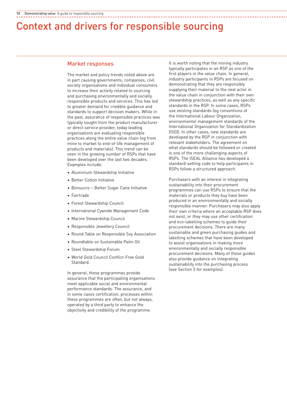# Context and drivers for responsible sourcing

## Market responses

The market and policy trends noted above are in part causing governments, companies, civil society organisations and individual consumers to increase their activity related to sourcing and purchasing environmentally and socially responsible products and services. This has led to greater demand for credible guidance and standards to support decision makers. While in the past, assurance of responsible practices was typically sought from the product manufacturer or direct service provider, today leading organisations are evaluating responsible practices along the entire value chain (eg from mine to market to end-of-life management of products and materials). This trend can be seen in the growing number of RSPs that have been developed over the last two decades. Examples include:

- • [Aluminium Stewardship Initiative](http://aluminium-stewardship.org/)
- [Better Cotton Initiative](http://bettercotton.org/)
- • [Bonsucro Better Sugar Cane Initiative](http://www.bonsucro.com/)
- • [Fairtrade](http://www.fairtrade.org.uk/)
- Forest [Stewardship Council](https://ic.fsc.org/)
- • [International Cyanide Management Code](http://www.cyanidecode.org/)
- [Marine Stewardship Council](https://www.msc.org/)
- Responsible [Jewellery Council](http://www.responsiblejewellery.com/)
- • [Round Table on Responsible Soy Association](http://www.responsiblesoy.org/?lang=en)
- • [Roundtable on Sustainable Palm Oil](http://www.rspo.org/)
- • [Steel Stewardship Forum](http://steelstewardship.com/)
- • [World Gold Council Conflict-Free Gold](http://www.gold.org/gold-mining/responsible-mining/social)  [Standard.](http://www.gold.org/gold-mining/responsible-mining/social)

In general, these programmes provide assurance that the participating organisations meet applicable social and environmental performance standards. The assurance, and in some cases certification, processes within these programmes are often, but not always, operated by a third party to enhance the objectivity and credibility of the programme.

It is worth noting that the mining industry typically participates in an RSP as one of the first players in the value chain. In general, industry participants in RSPs are focused on demonstrating that they are responsibly supplying their material to the next actor in the value chain in conjunction with their own stewardship practices, as well as any specific standards in the RSP. In some cases, RSPs use existing standards (eg conventions of the International Labour Organization, environmental management standards of the International Organization for Standardization (ISO)). In other cases, new standards are developed by the RSP in conjunction with relevant stakeholders. The agreement on what standards should be followed or created is one of the more challenging aspects of RSPs. The ISEAL Alliance has developed a standard-setting code to help participants in RSPs follow a structured approach.

Purchasers with an interest in integrating sustainability into their procurement programmes can use RSPs to ensure that the materials or products they buy have been produced in an environmentally and socially responsible manner. Purchasers may also apply their own criteria where an acceptable RSP does not exist, or they may use other certification and eco-labelling schemes to guide their procurement decisions. There are many sustainable and green purchasing guides and labelling schemes that have been developed to assist organisations in making more environmentally and socially responsible procurement decisions. Many of these guides also provide guidance on integrating sustainability into the purchasing process (see Section 5 for examples).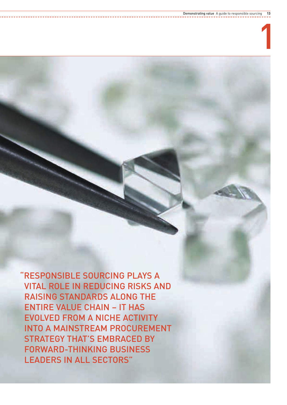"RESPONSIBLE SOURCING PLAYS A VITAL ROLE IN REDUCING RISKS AND RAISING STANDARDS ALONG THE ENTIRE VALUE CHAIN – IT HAS EVOLVED FROM A NICHE ACTIVITY INTO A MAINSTREAM PROCUREMENT STRATEGY THAT'S EMBRACED BY FORWARD-THINKING BUSINESS LEADERS IN ALL SECTORS"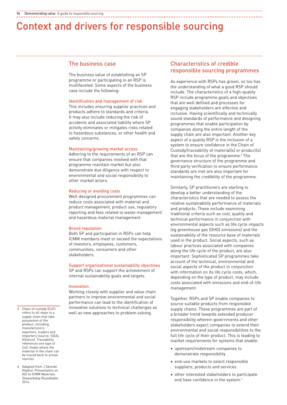# Context and drivers for responsible sourcing

## The business case

The business value of establishing an SP programme or participating in an RSP is multifaceted. Some aspects of the business case include the following:

#### Identification and management of risk

This includes ensuring supplier practices and products adhere to standards and criteria. It may also include reducing the risk of accidents and associated liability where SP activity eliminates or mitigates risks related to hazardous substances, or other health and safety concerns.

#### Maintaining/growing market access

Adhering to the requirements of an RSP can ensure that companies involved with that programme maintain market but also demonstrate due diligence with respect to environmental and social responsibility to other market actors.

#### Reducing or avoiding costs

Well-designed procurement programmes can reduce costs associated with material and product management, product use, regulatory reporting and fees related to waste management and hazardous material management.

## Brand reputation

Both SP and participation in RSPs can help ICMM members meet or exceed the expectations of investors, employees, customers, communities, consumers and other stakeholders.

Support organisational sustainability objectives

SP and RSPs can support the achievement of internal sustainability goals and targets.

## Innovation

Working closely with supplier and value chain partners to improve environmental and social performance can lead to the identification of innovative solutions to technical challenges as well as new approaches to problem solving.

# Characteristics of credible responsible sourcing programmes

As experience with RSPs has grown, so too has the understanding of what a good RSP should include. The characteristics of a high-quality RSP include programme goals and objectives that are well defined and processes for engaging stakeholders are effective and inclusive. Having scientifically and technically sound standards of performance and designing programmes that enable participation by companies along the entire length of the supply chain are also important. Another key aspect of a quality RSP is the inclusion of a system to ensure confidence in the Chain of Custody/traceability of material(s) or product(s) that are the focus of the programme. $5$  The governance structure of the programme and third party verification to ensure performance standards are met are also important for maintaining the credibility of the programme.

Similarly, SP practitioners are starting to develop a better understanding of the characteristics that are needed to assess the relative sustainability performance of materials and products. These include examining traditional criteria such as cost, quality and technical performance in conjunction with environmental aspects such as life cycle impacts (eg greenhouse gas (GHG) emissions) and the sustainability of the resource base of materials used in the product. Social aspects, such as labour practices associated with companies along the life cycle of the product, are also important. Sophisticated SP programmes take account of the technical, environmental and social aspects of the product in conjunction with information on its life cycle costs, which, depending on the type of product, may include costs associated with emissions and end-of-life management.

Together, RSPs and SP enable companies to source suitable products from responsible supply chains. These programmes are part of a broader trend towards extended producer responsibility wherein governments and other stakeholders expect companies to extend their environmental and social responsibilities to the full life cycle of their product. This is leading to market requirements for systems that enable:

- upstream/midstream companies to demonstrate responsibility
- end-use markets to select responsible suppliers, products and services
- other interested stakeholders to participate and have confidence in the system.<sup>6</sup>

5 Chain of custody (CoC) refers to all steps in a supply chain that take possession of the product, including manufacturers, exporters, traders and importers (source: ISEAL Alliance). Traceability references one type of CoC model where the material in the chain can be traced back to actual sources.

6 Adapted from J Søreide (Hydro). Presentation on ASI to ICMM Materials Stewardship Roundtable 2014.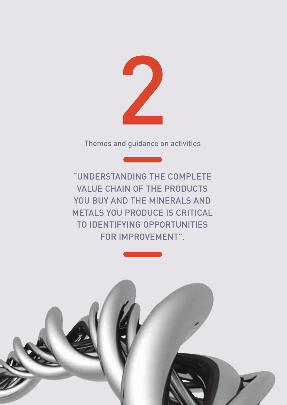

Themes and guidance on activities

"UNDERSTANDING THE COMPLETE VALUE CHAIN OF THE PRODUCTS YOU BUY AND THE MINERALS AND METALS YOU PRODUCE IS CRITICAL TO IDENTIFYING OPPORTUNITIES FOR IMPROVEMENT".

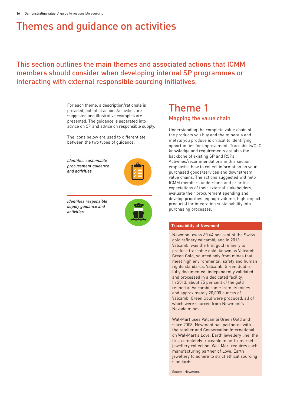# Themes and guidance on activities

# This section outlines the main themes and associated actions that ICMM members should consider when developing internal SP programmes or interacting with external responsible sourcing initiatives.

For each theme, a description/rationale is provided, potential actions/activities are suggested and illustrative examples are presented. The guidance is separated into advice on SP and advice on responsible supply.

The icons below are used to differentiate between the two types of guidance.

*Identifies sustainable procurement guidance and activities*



*Identifies responsible supply guidance and activities*



# Theme 1 Mapping the value chain

Understanding the complete value chain of the products you buy and the minerals and metals you produce is critical to identifying opportunities for improvement. Traceability/CoC knowledge and requirements are also the backbone of existing SP and RSPs. Activities/recommendations in this section emphasise how to collect information on your purchased goods/services and downstream value chains. The actions suggested will help ICMM members understand and prioritise expectations of their external stakeholders, evaluate their procurement spending and develop priorities (eg high-volume, high-impact products) for integrating sustainability into purchasing processes.

## **Traceability at Newmont**

Newmont owns 60.64 per cent of the Swiss gold refinery Valcambi, and in 2013 Valcambi was the first gold refinery to produce traceable gold, known as Valcambi Green Gold, sourced only from mines that meet high environmental, safety and human rights standards. Valcambi Green Gold is fully documented, independently validated and processed in a dedicated facility. In 2013, about 75 per cent of the gold refined at Valcambi came from its mines and approximately 20,000 ounces of Valcambi Green Gold were produced, all of which were sourced from Newmont's Nevada mines.

Wal-Mart uses Valcambi Green Gold and since 2008, Newmont has partnered with the retailer and Conservation International on Wal-Mart's Love, Earth jewellery line, the first completely traceable mine-to-market jewellery collection. Wal-Mart requires each manufacturing partner of Love, Earth jewellery to adhere to strict ethical sourcing standards.

Source: Newmont.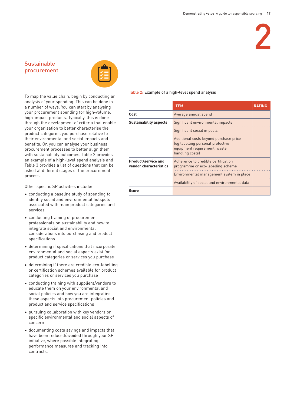# Sustainable procurement



To map the value chain, begin by conducting an analysis of your spending. This can be done in a number of ways. You can start by analysing your procurement spending for high-volume, high-impact products. Typically, this is done through the development of criteria that enable your organisation to better characterise the product categories you purchase relative to their environmental and social impacts and benefits. Or, you can analyse your business procurement processes to better align them with sustainability outcomes. Table 2 provides an example of a high-level spend analysis and Table 3 provides a list of questions that can be asked at different stages of the procurement process.

Other specific SP activities include:

- conducting a baseline study of spending to identify social and environmental hotspots associated with main product categories and services
- conducting training of procurement professionals on sustainability and how to integrate social and environmental considerations into purchasing and product specifications
- determining if specifications that incorporate environmental and social aspects exist for product categories or services you purchase
- determining if there are credible eco-labelling or certification schemes available for product categories or services you purchase
- conducting training with suppliers/vendors to educate them on your environmental and social policies and how you are integrating these aspects into procurement policies and product and service specifications
- pursuing collaboration with key vendors on specific environmental and social aspects of concern
- documenting costs savings and impacts that have been reduced/avoided through your SP initiative, where possible integrating performance measures and tracking into contracts.

## Table 2: Example of a high-level spend analysis

|                                                      | <b>ITEM</b>                                                                                                                    | <b>RATING</b> |
|------------------------------------------------------|--------------------------------------------------------------------------------------------------------------------------------|---------------|
| Cost                                                 | Average annual spend                                                                                                           |               |
| <b>Sustainability aspects</b>                        | Significant environmental impacts<br>Significant social impacts                                                                |               |
|                                                      | Additional costs beyond purchase price<br>leg labelling personal protective<br>equipment requirement, waste<br>handling costs) |               |
| <b>Product/service and</b><br>vendor characteristics | Adherence to credible certification<br>programme or eco-labelling scheme                                                       |               |
|                                                      | Environmental management system in place                                                                                       |               |
|                                                      | Availability of social and environmental data                                                                                  |               |
| Score                                                |                                                                                                                                |               |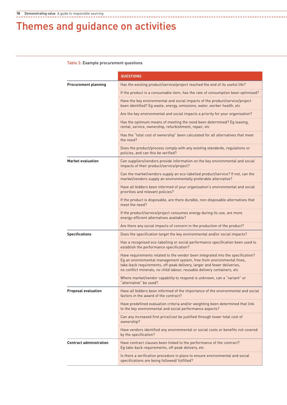# Themes and guidance on activities

## Table 3: Example procurement questions

|                                | <b>QUESTIONS</b>                                                                                                                                                                                                                                                                                                |
|--------------------------------|-----------------------------------------------------------------------------------------------------------------------------------------------------------------------------------------------------------------------------------------------------------------------------------------------------------------|
| <b>Procurement planning</b>    | Has the existing product/service/project reached the end of its useful life?                                                                                                                                                                                                                                    |
|                                | If the product is a consumable item, has the rate of consumption been optimised?                                                                                                                                                                                                                                |
|                                | Have the key environmental and social impacts of the product/service/project<br>been identified? Eg waste, energy, emissions, water, worker health, etc                                                                                                                                                         |
|                                | Are the key environmental and social impacts a priority for your organisation?                                                                                                                                                                                                                                  |
|                                | Has the optimum means of meeting the need been determined? Eg leasing,<br>rental, service, ownership, refurbishment, repair, etc                                                                                                                                                                                |
|                                | Has the "total cost of ownership" been calculated for all alternatives that meet<br>the need?                                                                                                                                                                                                                   |
|                                | Does the product/process comply with any existing standards, regulations or<br>policies, and can this be verified?                                                                                                                                                                                              |
| <b>Market evaluation</b>       | Can suppliers/vendors provide information on the key environmental and social<br>impacts of their product/service/project?                                                                                                                                                                                      |
|                                | Can the market/vendors supply an eco-labelled product/service? If not, can the<br>market/vendors supply an environmentally preferable alternative?                                                                                                                                                              |
|                                | Have all bidders been informed of your organisation's environmental and social<br>priorities and relevant policies?                                                                                                                                                                                             |
|                                | If the product is disposable, are there durable, non-disposable alternatives that<br>meet the need?                                                                                                                                                                                                             |
|                                | If the product/service/project consumes energy during its use, are more<br>energy-efficient alternatives available?                                                                                                                                                                                             |
|                                | Are there any social impacts of concern in the production of the product?                                                                                                                                                                                                                                       |
| <b>Specifications</b>          | Does the specification target the key environmental and/or social impacts?                                                                                                                                                                                                                                      |
|                                | Has a recognised eco-labelling or social performance specification been used to<br>establish the performance specification?                                                                                                                                                                                     |
|                                | Have requirements related to the vendor been integrated into the specification?<br>Eg an environmental management system, free from environmental fines,<br>take-back requirements, off-peak delivery, larger and fewer deliveries,<br>no conflict minerals, no child labour, reusable delivery containers, etc |
|                                | Where market/vendor capability to respond is unknown, can a "variant" or<br>"alternative" be used?                                                                                                                                                                                                              |
| <b>Proposal evaluation</b>     | Have all bidders been informed of the importance of the environmental and social<br>factors in the award of the contract?                                                                                                                                                                                       |
|                                | Have predefined evaluation criteria and/or weighting been determined that link<br>to the key environmental and social performance aspects?                                                                                                                                                                      |
|                                | Can any increased first price/cost be justified through lower total cost of<br>ownership?                                                                                                                                                                                                                       |
|                                | Have vendors identified any environmental or social costs or benefits not covered<br>by the specification?                                                                                                                                                                                                      |
| <b>Contract administration</b> | Have contract clauses been linked to the performance of the contract?<br>Eg take-back requirements, off-peak delivery, etc                                                                                                                                                                                      |
|                                | Is there a verification procedure in place to ensure environmental and social<br>specifications are being followed/fulfilled?                                                                                                                                                                                   |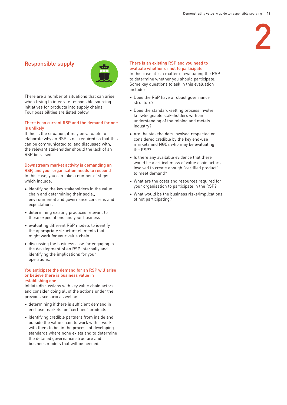# Responsible supply



There are a number of situations that can arise when trying to integrate responsible sourcing initiatives for products into supply chains. Four possibilities are listed below.

## There is no current RSP and the demand for one is unlikely

If this is the situation, it may be valuable to elaborate why an RSP is not required so that this can be communicated to, and discussed with, the relevant stakeholder should the lack of an RSP be raised.

Downstream market activity is demanding an RSP, and your organisation needs to respond In this case, you can take a number of steps which include:

- identifying the key stakeholders in the value chain and determining their social, environmental and governance concerns and expectations
- determining existing practices relevant to those expectations and your business
- evaluating different RSP models to identify the appropriate structure elements that might work for your value chain
- discussing the business case for engaging in the development of an RSP internally and identifying the implications for your operations.

## You anticipate the demand for an RSP will arise or believe there is business value in establishing one

Initiate discussions with key value chain actors and consider doing all of the actions under the previous scenario as well as:

- determining if there is sufficient demand in end-use markets for "certified" products
- identifying credible partners from inside and outside the value chain to work with – work with them to begin the process of developing standards where none exists and to determine the detailed governance structure and business models that will be needed.

## There is an existing RSP and you need to evaluate whether or not to participate In this case, it is a matter of evaluating the RSP

to determine whether you should participate. Some key questions to ask in this evaluation include:

- Does the RSP have a robust governance structure?
- Does the standard-setting process involve knowledgeable stakeholders with an understanding of the mining and metals industry?
- Are the stakeholders involved respected or considered credible by the key end-use markets and NGOs who may be evaluating the RSP?
- Is there any available evidence that there would be a critical mass of value chain actors involved to create enough "certified product" to meet demand?
- What are the costs and resources required for your organisation to participate in the RSP?
- What would be the business risks/implications of not participating?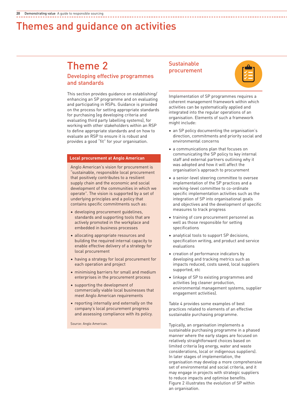# Themes and guidance on activities

# Theme 2

# Developing effective programmes and standards

This section provides guidance on establishing/ enhancing an SP programme and on evaluating and participating in RSPs. Guidance is provided on the process for setting appropriate standards for purchasing (eg developing criteria and evaluating third party labelling systems), for working with other stakeholders within an RSP to define appropriate standards and on how to evaluate an RSP to ensure it is robust and provides a good "fit" for your organisation.

## **Local procurement at Anglo American**

Anglo American's vision for procurement is "sustainable, responsible local procurement that positively contributes to a resilient supply chain and the economic and social development of the communities in which we operate". The vision is supported by a set of underlying principles and a policy that contains specific commitments such as:

- developing procurement guidelines, standards and supporting tools that are actively promoted in the workplace and embedded in business processes
- allocating appropriate resources and building the required internal capacity to enable effective delivery of a strategy for local procurement
- having a strategy for local procurement for each operation and project
- minimising barriers for small and medium enterprises in the procurement process
- supporting the development of commercially viable local businesses that meet Anglo American requirements
- reporting internally and externally on the company's local procurement progress and assessing compliance with its policy.

Source: Anglo American.

# Sustainable procurement



Implementation of SP programmes requires a coherent management framework within which activities can be systematically applied and integrated into the regular operations of an organisation. Elements of such a framework might include:

- an SP policy documenting the organisation's direction, commitments and priority social and environmental concerns
- a communications plan that focuses on communicating the SP policy to key internal staff and external partners outlining why it was adopted and how it will affect the organisation's approach to procurement
- a senior-level steering committee to oversee implementation of the SP practices and a working-level committee to co-ordinate specific implementation activities such as the integration of SP into organisational goals and objectives and the development of specific measures to track progress
- training of core procurement personnel as well as those responsible for setting specifications
- analytical tools to support SP decisions, specification writing, and product and service evaluations
- creation of performance indicators by developing and tracking metrics such as impacts reduced, costs saved, local suppliers supported, etc
- linkage of SP to existing programmes and activities (eg cleaner production, environmental management systems, supplier engagement activities).

Table 4 provides some examples of best practices related to elements of an effective sustainable purchasing programme.

Typically, an organisation implements a sustainable purchasing programme in a phased manner where the early stages are focused on relatively straightforward choices based on limited criteria (eg energy, water and waste considerations, local or indigenous suppliers). In later stages of implementation, the organisation may develop a more comprehensive set of environmental and social criteria, and it may engage in projects with strategic suppliers to reduce impacts and optimise benefits. Figure 2 illustrates the evolution of SP within an organisation.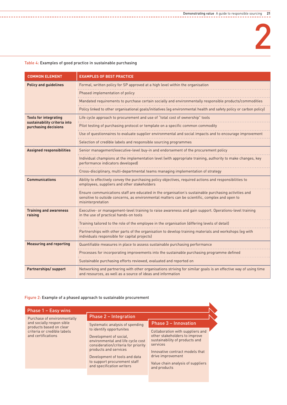$=$   $-$ 

# 2

## Table 4: Examples of good practice in sustainable purchasing

-----------------------------------

| <b>COMMON ELEMENT</b>                                | <b>EXAMPLES OF BEST PRACTICE</b>                                                                                                                                                                                            |
|------------------------------------------------------|-----------------------------------------------------------------------------------------------------------------------------------------------------------------------------------------------------------------------------|
| <b>Policy and guidelines</b>                         | Formal, written policy for SP approved at a high level within the organisation                                                                                                                                              |
|                                                      | Phased implementation of policy                                                                                                                                                                                             |
|                                                      | Mandated requirements to purchase certain socially and environmentally responsible products/commodities                                                                                                                     |
|                                                      | Policy linked to other organisational goals/initiatives (eg environmental health and safety policy or carbon policy)                                                                                                        |
| <b>Tools for integrating</b>                         | Life cycle approach to procurement and use of "total cost of ownership" tools                                                                                                                                               |
| sustainability criteria into<br>purchasing decisions | Pilot testing of purchasing protocol or template on a specific common commodity                                                                                                                                             |
|                                                      | Use of questionnaires to evaluate supplier environmental and social impacts and to encourage improvement                                                                                                                    |
|                                                      | Selection of credible labels and responsible sourcing programmes                                                                                                                                                            |
| <b>Assigned responsibilities</b>                     | Senior management/executive-level buy-in and endorsement of the procurement policy                                                                                                                                          |
|                                                      | Individual champions at the implementation level (with appropriate training, authority to make changes, key<br>performance indicators developed)                                                                            |
|                                                      | Cross-disciplinary, multi-departmental teams managing implementation of strategy                                                                                                                                            |
| <b>Communications</b>                                | Ability to effectively convey the purchasing policy objectives, required actions and responsibilities to<br>employees, suppliers and other stakeholders                                                                     |
|                                                      | Ensure communications staff are educated in the organisation's sustainable purchasing activities and<br>sensitive to outside concerns, as environmental matters can be scientific, complex and open to<br>misinterpretation |
| <b>Training and awareness</b><br>raising             | Executive- or management-level training to raise awareness and gain support. Operations-level training<br>in the use of practical hands-on tools                                                                            |
|                                                      | Training tailored to the role of the employee in the organisation (differing levels of detail)                                                                                                                              |
|                                                      | Partnerships with other parts of the organisation to develop training materials and workshops (eg with<br>individuals responsible for capital projects)                                                                     |
| <b>Measuring and reporting</b>                       | Quantifiable measures in place to assess sustainable purchasing performance                                                                                                                                                 |
|                                                      | Processes for incorporating improvements into the sustainable purchasing programme defined                                                                                                                                  |
|                                                      | Sustainable purchasing efforts reviewed, evaluated and reported on                                                                                                                                                          |
| <b>Partnerships/support</b>                          | Networking and partnering with other organisations striving for similar goals is an effective way of using time<br>and resources, as well as a source of ideas and information                                              |

## Figure 2: Example of a phased approach to sustainable procurement

| Phase 1 - Easy wins                                  |                                                                                                                                                                                                                                                       |                                                                                                                                                                                                                              |  |
|------------------------------------------------------|-------------------------------------------------------------------------------------------------------------------------------------------------------------------------------------------------------------------------------------------------------|------------------------------------------------------------------------------------------------------------------------------------------------------------------------------------------------------------------------------|--|
| Purchase of environmentally                          | Phase 2 - Integration                                                                                                                                                                                                                                 |                                                                                                                                                                                                                              |  |
| and socially respon sible<br>products based on clear | Systematic analysis of spending                                                                                                                                                                                                                       | Phase 3 - Innovation                                                                                                                                                                                                         |  |
| criteria or credible labels<br>and certifications    | to identify opportunites<br>Development of social.<br>environmental and life cycle cost<br>consideration/criteria for priority<br>products and services<br>Development of tools and data<br>to support procurement staff<br>and specification writers | Collaboration with suppliers and<br>other stakeholders to improve<br>sustainability of products and<br>services<br>Innovative contract models that<br>drive improvement<br>Value chain analysis of suppliers<br>and products |  |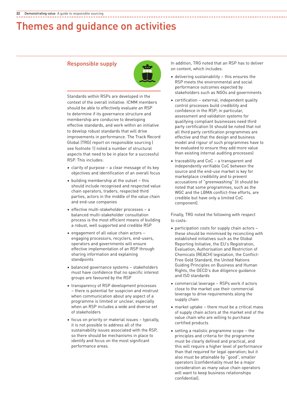# Themes and guidance on activities

# Responsible supply



Standards within RSPs are developed in the context of the overall initiative. ICMM members should be able to effectively evaluate an RSP to determine if its governance structure and membership are conducive to developing effective standards, and work within an initiative to develop robust standards that will drive improvements in performance. The Track Record Global (TRG) report on responsible sourcing ( see footnote 1) noted a number of structural aspects that need to be in place for a successful RSP. This includes:

- clarity of purpose a clear message of its key objectives and identification of an overall focus
- building membership at the outset this should include recognised and respected value chain operators, traders, respected third parties, actors in the middle of the value chain and end-use companies
- effective multi-stakeholder processes a balanced multi-stakeholder consultation process is the most efficient means of building a robust, well supported and credible RSP
- engagement of all value chain actors engaging processors, recyclers, end-users, operators and governments will ensure effective implementation of an RSP through sharing information and explaining standpoints
- balanced governance systems stakeholders must have confidence that no specific interest groups are favoured by the RSP
- transparency of RSP development processes – there is potential for suspicion and mistrust when communication about any aspect of a programme is limited or unclear, especially when an RSP includes a wide and diverse set of stakeholders
- focus on priority or material issues typically, it is not possible to address all of the sustainability issues associated with the RSP, so there should be mechanisms in place to identify and focus on the most significant performance areas.

In addition, TRG noted that an RSP has to deliver on content, which includes:

- delivering sustainability this ensures the RSP meets the environmental and social performance outcomes expected by stakeholders such as NGOs and governments
- certification external, independent quality control processes build credibility and confidence in the RSP; in particular, assessment and validation systems for qualifying compliant businesses need third party certification (it should be noted that not all third party certification programmes are effective and that the design and business model and rigour of such programmes have to be evaluated to ensure they add more value than existing internal auditing processes)
- traceability and CoC a transparent and independently verifiable CoC between the source and the end-use market is key for marketplace credibility and to prevent accusations of "greenwashing" (it should be noted that some programmes, such as the WGC and the LBMA conflict-free efforts, are credible but have only a limited CoC component).

Finally, TRG noted the following with respect to costs:

- participation costs for supply chain actors these should be minimised by reconciling with established initiatives such as the Global Reporting Initiative, the EU's Registration, Evaluation, Authorisation and Restriction of Chemicals (REACH) legislation, the Conflict-Free Gold Standard, the United Nations Guiding Principles on Business and Human Rights, the OECD's due diligence guidance and ISO standards
- commercial leverage RSPs work if actors close to the market use their commercial leverage to drive requirements along the supply chain
- market uptake there must be a critical mass of supply chain actors at the market end of the value chain who are willing to purchase certified products
- setting a realistic programme scope the principles and criteria for the programme must be clearly defined and practical, and this will require a higher level of performance than that required for legal operation; but it also must be attainable by "good", smaller operators (confidentiality must be a major consideration as many value chain operators will want to keep business relationships confidential).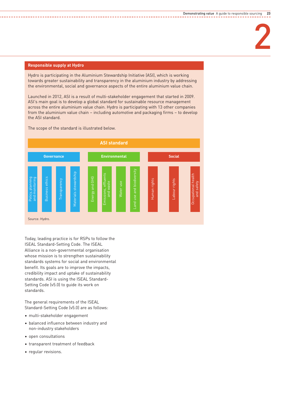## **Responsible supply at Hydro**

Hydro is participating in the Aluminium Stewardship Initiative (ASI), which is working towards greater sustainability and transparency in the aluminium industry by addressing the environmental, social and governance aspects of the entire aluminium value chain.

Launched in 2012, ASI is a result of multi-stakeholder engagement that started in 2009. ASI's main goal is to develop a global standard for sustainable resource management across the entire aluminium value chain. Hydro is participating with 13 other companies from the aluminium value chain – including automotive and packaging firms – to develop the ASI standard.

The scope of the standard is illustrated below.



Today, leading practice is for RSPs to follow the ISEAL Standard-Setting Code. The ISEAL Alliance is a non-governmental organisation whose mission is to strengthen sustainability standards systems for social and environmental benefit. Its goals are to improve the impacts, credibility impact and uptake of sustainability standards. ASI is using the ISEAL Standard-Setting Code (v5.0) to guide its work on standards.

The general requirements of the ISEAL Standard-Setting Code (v5.0) are as follows:

- multi-stakeholder engagement
- balanced influence between industry and non-industry stakeholders
- open consultations
- transparent treatment of feedback
- regular revisions.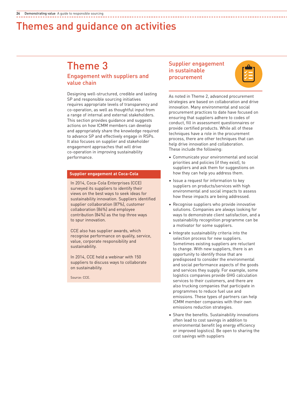# Themes and guidance on activities

# Theme 3

# Engagement with suppliers and value chain

Designing well-structured, credible and lasting SP and responsible sourcing initiatives requires appropriate levels of transparency and co-operation, as well as thoughtful input from a range of internal and external stakeholders. This section provides guidance and suggests actions on how ICMM members can develop and appropriately share the knowledge required to advance SP and effectively engage in RSPs. It also focuses on supplier and stakeholder engagement approaches that will drive co-operation in improving sustainability performance.

## **Supplier engagement at Coca-Cola**

In 2014, Coca-Cola Enterprises (CCE) surveyed its suppliers to identify their views on the best ways to seek ideas for sustainability innovation. Suppliers identified supplier collaboration (87%), customer collaboration (86%) and employee contribution (84%) as the top three ways to spur innovation.

CCE also has supplier awards, which recognise performance on quality, service, value, corporate responsibility and sustainability.

In 2014, CCE held a webinar with 150 suppliers to discuss ways to collaborate on sustainability.

Source: CCE.

# Supplier engagement in sustainable procurement



As noted in Theme 2, advanced procurement strategies are based on collaboration and drive innovation. Many environmental and social procurement practices to date have focused on ensuring that suppliers adhere to codes of conduct, fill in assessment questionnaires or provide certified products. While all of these techniques have a role in the procurement process, there are other techniques that can help drive innovation and collaboration. These include the following:

- Communicate your environmental and social priorities and policies (if they exist), to suppliers and ask them for suggestions on how they can help you address them.
- Issue a request for information to key suppliers on products/services with high environmental and social impacts to assess how these impacts are being addressed.
- Recognise suppliers who provide innovative solutions. Companies are always looking for ways to demonstrate client satisfaction, and a sustainability recognition programme can be a motivator for some suppliers.
- Integrate sustainability criteria into the selection process for new suppliers. Sometimes existing suppliers are reluctant to change. With new suppliers, there is an opportunity to identify those that are predisposed to consider the environmental and social performance aspects of the goods and services they supply. For example, some logistics companies provide GHG calculation services to their customers, and there are also trucking companies that participate in programmes to reduce fuel use and emissions. These types of partners can help ICMM member companies with their own emissions reduction strategies.
- Share the benefits. Sustainability innovations often lead to cost savings in addition to environmental benefit (eg energy efficiency or improved logistics). Be open to sharing the cost savings with suppliers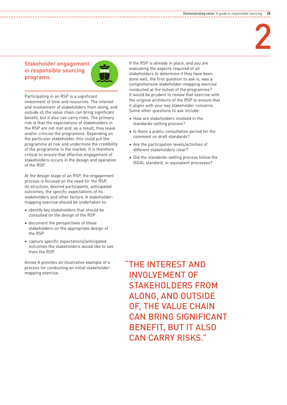# Stakeholder engagement in responsible sourcing programs



Participating in an RSP is a significant investment of time and resources. The interest and involvement of stakeholders from along, and outside of, the value chain can bring significant benefit, but it also can carry risks. The primary risk is that the expectations of stakeholders in the RSP are not met and, as a result, they leave and/or criticise the programme. Depending on the particular stakeholder, this could put the programme at risk and undermine the credibility of the programme in the market. It is therefore critical to ensure that effective engagement of stakeholders occurs in the design and operation of the RSP.

At the design stage of an RSP, the engagement process is focused on the need for the RSP, its structure, desired participants, anticipated outcomes, the specific expectations of its stakeholders and other factors. A stakeholdermapping exercise should be undertaken to:

- identify key stakeholders that should be consulted on the design of the RSP
- document the perspectives of these stakeholders on the appropriate design of the RSP
- capture specific expectations/anticipated outcomes the stakeholders would like to see from the RSP.

Annex A provides an illustrative example of a process for conducting an initial stakeholdermapping exercise.

If the RSP is already in place, and you are evaluating the aspects required of all stakeholders to determine if they have been done well, the first question to ask is, was a comprehensive stakeholder-mapping exercise conducted at the outset of the programme? It would be prudent to review that exercise with the original architects of the RSP to ensure that it aligns with your key stakeholder concerns. Some other questions to ask include:

- How are stakeholders involved in the standards-setting process?
- Is there a public consultation period for the comment on draft standards?
- Are the participation levels/activities of different stakeholders clear?
- Did the standards-setting process follow the ISEAL standard, or equivalent processes?

THE INTEREST AND INVOLVEMENT OF STAKEHOLDERS FROM ALONG, AND OUTSIDE OF, THE VALUE CHAIN CAN BRING SIGNIFICANT BENEFIT, BUT IT ALSO CAN CARRY RISKS."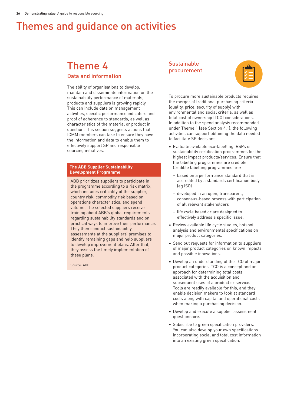# Themes and guidance on activities

# Theme 4

# Data and information

The ability of organisations to develop, maintain and disseminate information on the sustainability performance of materials, products and suppliers is growing rapidly. This can include data on management activities, specific performance indicators and proof of adherence to standards, as well as characteristics of the material or product in question. This section suggests actions that ICMM members can take to ensure they have the information and data to enable them to effectively support SP and responsible sourcing initiatives.

## **The ABB Supplier Sustainability Development Programme**

ABB prioritizes suppliers to participate in the programme according to a risk matrix, which includes criticality of the supplier, country risk, commodity risk based on operations characteristics, and spend volume. The selected suppliers receive training about ABB's global requirements regarding sustainability standards and on practical ways to improve their performance. They then conduct sustainability assessments at the suppliers' premises to identify remaining gaps and help suppliers to develop improvement plans. After that, they assess the timely implementation of these plans.

Source: ABB.

# Sustainable procurement



To procure more sustainable products requires the merger of traditional purchasing criteria (quality, price, security of supply) with environmental and social criteria, as well as total cost of ownership (TCO) considerations. In addition to the spend analysis recommended under Theme 1 (see Section 4.1), the following activities can support obtaining the data needed to facilitate SP decisions.

- Evaluate available eco-labelling, RSPs or sustainability certification programmes for the highest impact products/services. Ensure that the labelling programmes are credible. Credible labelling programmes are:
	- based on a performance standard that is accredited by a standards certification body (eg ISO)
	- developed in an open, transparent, consensus-based process with participation of all relevant stakeholders
	- life cycle based or are designed to effectively address a specific issue.
- Review available life cycle studies, hotspot analysis and environmental specifications on major product categories.
- Send out requests for information to suppliers of major product categories on known impacts and possible innovations.
- Develop an understanding of the TCO of major product categories. TCO is a concept and an approach for determining total costs associated with the acquisition and subsequent uses of a product or service. Tools are readily available for this, and they enable decision makers to look at standard costs along with capital and operational costs when making a purchasing decision.
- Develop and execute a supplier assessment questionnaire.
- Subscribe to green specification providers. You can also develop your own specifications incorporating social and total cost information into an existing green specification.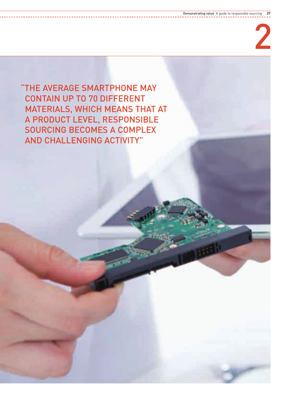"THE AVERAGE SMARTPHONE MAY CONTAIN UP TO 70 DIFFERENT MATERIALS, WHICH MEANS THAT AT A PRODUCT LEVEL, RESPONSIBLE SOURCING BECOMES A COMPLEX AND CHALLENGING ACTIVITY"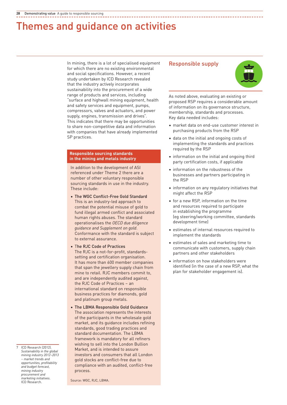# Themes and guidance on activities

In mining, there is a lot of specialised equipment for which there are no existing environmental and social specifications. However, a recent study undertaken by ICD Research revealed that the industry actively incorporates sustainability into the procurement of a wide range of products and services, including "surface and highwall mining equipment, health and safety services and equipment, pumps, compressors, valves and actuators, and power supply, engines, transmission and drives". This indicates that there may be opportunities to share non-competitive data and information with companies that have already implemented SP practices.

## **Responsible sourcing standards in the mining and metals industry**

In addition to the development of ASI referenced under Theme 2 there are a number of other voluntary responsible sourcing standards in use in the industry. These include:

- The WGC Conflict-Free Gold Standard This is an industry-led approach to combat the potential misuse of gold to fund illegal armed conflict and associated human rights abuses. The standard operationalises the *OECD due diligence guidance and Supplement on gold*. Conformance with the standard is subject to external assurance.
- The RJC Code of Practices The RJC is a not-for-profit, standardssetting and certification organisation. It has more than 600 member companies that span the jewellery supply chain from mine to retail. RJC members commit to, and are independently audited against, the RJC Code of Practices – an international standard on responsible business practices for diamonds, gold and platinum group metals.
- The LBMA Responsible Gold Guidance The association represents the interests of the participants in the wholesale gold market, and its guidance includes refining standards, good trading practices and standard documentation. The LBMA framework is mandatory for all refiners wishing to sell into the London Bullion Market, and is intended to assure investors and consumers that all London gold stocks are conflict-free due to compliance with an audited, conflict-free process.

Source: WGC, RJC, LBMA.

# Responsible supply



As noted above, evaluating an existing or proposed RSP requires a considerable amount of information on its governance structure, membership, standards and processes. Key data needed includes:

- market data on end-use customer interest in purchasing products from the RSP
- data on the initial and ongoing costs of implementing the standards and practices required by the RSP
- information on the initial and ongoing third party certification costs, if applicable
- information on the robustness of the businesses and partners participating in the RSP
- information on any regulatory initiatives that might affect the RSP
- for a new RSP, information on the time and resources required to participate in establishing the programme (eg steering/working committee, standards development time)
- estimates of internal resources required to implement the standards
- estimates of sales and marketing time to communicate with customers, supply chain partners and other stakeholders
- information on how stakeholders were identified (in the case of a new RSP, what the plan for stakeholder engagement is).

7 ICD Research (2012). *Sustainability in the global mining industry 2012–2013 – market trends and opportunities, profitability and budget forecast, mining industry procurement and marketing initiatives*. ICD Research.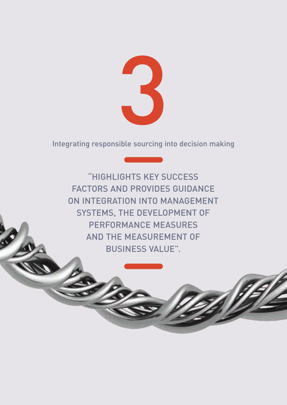

Integrating responsible sourcing into decision making

"HIGHLIGHTS KEY SUCCESS FACTORS AND PROVIDES GUIDANCE ON INTEGRATION INTO MANAGEMENT SYSTEMS, THE DEVELOPMENT OF PERFORMANCE MEASURES AND THE MEASUREMENT OF BUSINESS VALUE".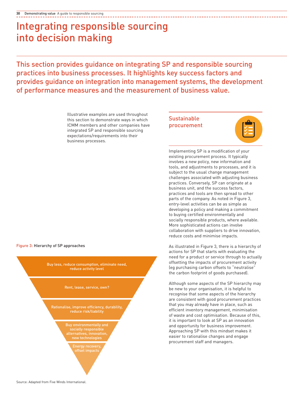# Integrating responsible sourcing into decision making

This section provides guidance on integrating SP and responsible sourcing practices into business processes. It highlights key success factors and provides guidance on integration into management systems, the development of performance measures and the measurement of business value.

> Illustrative examples are used throughout this section to demonstrate ways in which ICMM members and other companies have integrated SP and responsible sourcing expectations/requirements into their business processes.

# **Sustainable** procurement



Implementing SP is a modification of your existing procurement process. It typically involves a new policy, new information and tools, and adjustments to processes, and it is subject to the usual change management challenges associated with adjusting business practices. Conversely, SP can originate at a business unit, and the success factors, practices and tools are then spread to other parts of the company. As noted in Figure 3, entry-level activities can be as simple as developing a policy and making a commitment to buying certified environmentally and socially responsible products, where available. More sophisticated actions can involve collaboration with suppliers to drive innovation, reduce costs and minimise impacts.

As illustrated in Figure 3, there is a hierarchy of actions for SP that starts with evaluating the need for a product or service through to actually offsetting the impacts of procurement activity (eg purchasing carbon offsets to "neutralise" the carbon footprint of goods purchased).

Although some aspects of the SP hierarchy may be new to your organisation, it is helpful to recognise that some aspects of the hierarchy are consistent with good procurement practices that you may already have in place, such as efficient inventory management, minimisation of waste and cost optimisation. Because of this, it is important to look at SP as an innovation and opportunity for business improvement. Approaching SP with this mindset makes it easier to rationalise changes and engage procurement staff and managers.

Figure 3: Hierarchy of SP approaches



Source: Adapted from Five Winds International.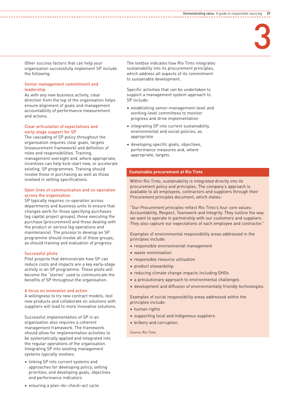Other success factors that can help your organisation successfully implement SP include the following:

# Senior management commitment and leadership

As with any new business activity, clear direction from the top of the organisation helps ensure alignment of goals and management accountability of performance measurement and actions.

## Clear articulation of expectations and early-stage support for SP

The cascading of SP policy throughout the organisation requires clear goals, targets (measurement framework) and definition of roles and responsibilities. Training, management oversight and, where appropriate, incentives can help kick-start new, or accelerate existing, SP programmes. Training should involve those in purchasing as well as those involved in setting specifications.

# Open lines of communication and co-operation across the organisation

SP typically requires co-operation across departments and business units to ensure that changes work for those specifying purchases (eg capital project groups), those executing the purchase (procurement) and those dealing with the product or service (eg operations and maintenance). The process to develop an SP programme should involve all of these groups, as should training and evaluation of progress.

# Successful pilots

Pilot projects that demonstrate how SP can reduce costs and impacts are a key early-stage activity in an SP programme. These pilots will become the "stories" used to communicate the benefits of SP throughout the organisation.

# A focus on innovation and action

A willingness to try new contract models, test new products and collaborate on solutions with suppliers will lead to more innovative solutions.

Successful implementation of SP in an organisation also requires a coherent management framework. The framework should allow for implementation activities to be systematically applied and integrated into the regular operations of the organisation. Integrating SP into existing management systems typically involves:

• linking SP into current systems and approaches for developing policy; setting priorities; and developing goals, objectives and performance indicators

The textbox indicates how Rio Tinto integrates sustainability into its procurement principles, which address all aspects of its commitment to sustainable development.

Specific activities that can be undertaken to support a management system approach to SP include:

- establishing senior-management-level and working-level committees to monitor progress and drive implementation
- integrating SP into current sustainability, environmental and social policies, as appropriate
- developing specific goals, objectives, performance measures and, where appropriate, targets.

## **Sustainable procurement at Rio Tinto**

Within Rio Tinto, sustainability is integrated directly into its procurement policy and principles. The company's approach is available to all employees, contractors and suppliers through their *Procurement principles* document, which states:

"Our *Procurement principles* reflect Rio Tinto's four core values: Accountability, Respect, Teamwork and Integrity. They outline the way we want to operate in partnership with our customers and suppliers. They also capture our expectations of each employee and contractor."

Examples of environmental responsibility areas addressed in the principles include:

- responsible environmental management
- waste minimisation
- responsible resource utilisation
- product stewardship
- reducing climate change impacts including GHGs
- a precautionary approach to environmental challenges
- development and diffusion of environmentally friendly technologies.

Examples of social responsibility areas addressed within the principles include:

- human rights
- supporting local and indigenous suppliers
- bribery and corruption.

Source: Rio Tinto.

• ensuring a plan–do–check–act cycle.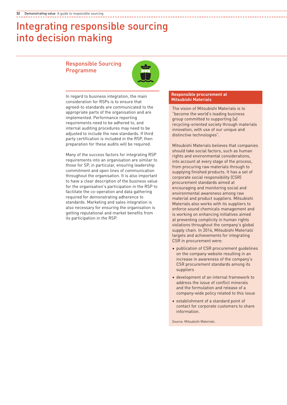# Integrating responsible sourcing into decision making

# Responsible Sourcing Programme



In regard to business integration, the main consideration for RSPs is to ensure that agreed-to standards are communicated to the appropriate parts of the organisation and are implemented. Performance reporting requirements need to be adhered to, and internal auditing procedures may need to be adjusted to include the new standards. If third party certification is included in the RSP, then preparation for these audits will be required.

Many of the success factors for integrating RSP requirements into an organisation are similar to those for SP, in particular, ensuring leadership commitment and open lines of communication throughout the organisation. It is also important to have a clear description of the business value for the organisation's participation in the RSP to facilitate the co-operation and data gathering required for demonstrating adherence to standards. Marketing and sales integration is also necessary for ensuring the organisation is getting reputational and market benefits from its participation in the RSP.

## **Responsible procurement at Mitsubishi Materials**

The vision of Mitsubishi Materials is to "become the world's leading business group committed to supporting [a] recycling-oriented society through materials innovation, with use of our unique and distinctive technologies".

Mitsubishi Materials believes that companies should take social factors, such as human rights and environmental considerations, into account at every stage of the process, from procuring raw materials through to supplying finished products. It has a set of corporate social responsibility (CSR) procurement standards aimed at encouraging and monitoring social and environmental awareness among raw material and product suppliers. Mitsubishi Materials also works with its suppliers to enforce sound chemicals management and is working on enhancing initiatives aimed at preventing complicity in human rights violations throughout the company's global supply chain. In 2014, Mitsubishi Materials' targets and achievements for integrating CSR in procurement were:

- publication of CSR procurement guidelines on the company website resulting in an increase in awareness of the company's CSR procurement standards among its suppliers
- development of an internal framework to address the issue of conflict minerals and the formulation and release of a company-wide policy related to this issue
- establishment of a standard point of contact for corporate customers to share information.

Source: Mitsubishi Materials.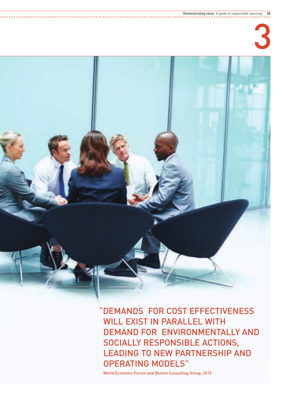



"DEMANDS FOR COST EFFECTIVENESS WILL EXIST IN PARALLEL WITH DEMAND FOR ENVIRONMENTALLY AND SOCIALLY RESPONSIBLE ACTIONS, LEADING TO NEW PARTNERSHIP AND OPERATING MODELS"

World Economic Forum and Boston Consulting Group, 2015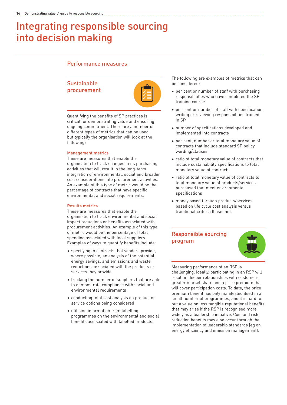# Integrating responsible sourcing into decision making

# Performance measures

# **Sustainable** procurement



Quantifying the benefits of SP practices is critical for demonstrating value and ensuring ongoing commitment. There are a number of different types of metrics that can be used, but typically the organisation will look at the following:

#### Management metrics

These are measures that enable the organisation to track changes in its purchasing activities that will result in the long-term integration of environmental, social and broader cost considerations into procurement activities. An example of this type of metric would be the percentage of contracts that have specific environmental and social requirements.

#### Results metrics

These are measures that enable the organisation to track environmental and social impact reductions or benefits associated with procurement activities. An example of this type of metric would be the percentage of total spending associated with local suppliers. Examples of ways to quantify benefits include:

- specifying in contracts that vendors provide, where possible, an analysis of the potential energy savings, and emissions and waste reductions, associated with the products or services they provide
- tracking the number of suppliers that are able to demonstrate compliance with social and environmental requirements
- conducting total cost analysis on product or service options being considered
- utilising information from labelling programmes on the environmental and social benefits associated with labelled products.

The following are examples of metrics that can be considered:

- per cent or number of staff with purchasing responsibilities who have completed the SP training course
- per cent or number of staff with specification writing or reviewing responsibilities trained in SP
- number of specifications developed and implemented into contracts
- per cent, number or total monetary value of contracts that include standard SP policy wording/clauses
- ratio of total monetary value of contracts that include sustainability specifications to total monetary value of contracts
- ratio of total monetary value of contracts to total monetary value of products/services purchased that meet environmental specifications
- money saved through products/services based on life cycle cost analysis versus traditional criteria (baseline).

# Responsible sourcing program



Measuring performance of an RSP is challenging. Ideally, participating in an RSP will result in deeper relationships with customers, greater market share and a price premium that will cover participation costs. To date, the price premium benefit has only manifested itself in a small number of programmes, and it is hard to put a value on less tangible reputational benefits that may arise if the RSP is recognised more widely as a leadership initiative. Cost and risk reduction benefits may also occur through the implementation of leadership standards (eg on energy efficiency and emission management).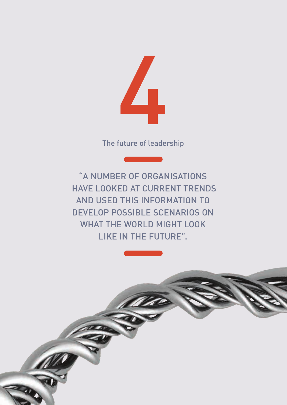

The future of leadership

"A NUMBER OF ORGANISATIONS HAVE LOOKED AT CURRENT TRENDS AND USED THIS INFORMATION TO DEVELOP POSSIBLE SCENARIOS ON WHAT THE WORLD MIGHT LOOK LIKE IN THE FUTURE".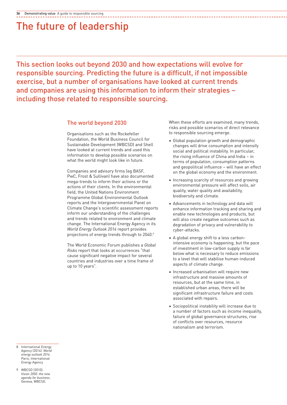# The future of leadership

This section looks out beyond 2030 and how expectations will evolve for responsible sourcing. Predicting the future is a difficult, if not impossible exercise, but a number of organisations have looked at current trends and companies are using this information to inform their strategies – including those related to responsible sourcing.

## The world beyond 2030

Organisations such as the Rockefeller Foundation, the World Business Council for Sustainable Development (WBCSD) and Shell have looked at current trends and used this information to develop possible scenarios on what the world might look like in future.

Companies and advisory firms (eg BASF, PwC, Frost & Sullivan) have also documented mega-trends to inform their actions or the actions of their clients. In the environmental field, the United Nations Environment Programme Global Environmental Outlook reports and the Intergovernmental Panel on Climate Change's scientific assessment reports inform our understanding of the challenges and trends related to environment and climate change. The International Energy Agency in its *World Energy Outlook 2014* report provides projections of energy trends through to 2040.8

The World Economic Forum publishes a *Global Risks* report that looks at occurrences "that cause significant negative impact for several countries and industries over a time frame of up to 10 years".

When these efforts are examined, many trends, risks and possible scenarios of direct relevance to responsible sourcing emerge.

- Global population growth and demographic changes will drive consumption and intensify social and political instability. In particular, the rising influence of China and India – in terms of population, consumption patterns and geopolitical influence – will have an effect on the global economy and the environment.
- Increasing scarcity of resources and growing environmental pressure will affect soils, air quality, water quality and availability, biodiversity and climate.
- Advancements in technology and data will enhance information tracking and sharing and enable new technologies and products, but will also create negative outcomes such as degradation of privacy and vulnerability to cyber-attacks.
- A global energy shift to a less carbonintensive economy is happening, but the pace of investment in low-carbon supply is far below what is necessary to reduce emissions to a level that will stabilise human-induced aspects of climate change.
- Increased urbanisation will require new infrastructure and massive amounts of resources, but at the same time, in established urban areas, there will be significant infrastructure failure and costs associated with repairs.
- Sociopolitical instability will increase due to a number of factors such as income inequality, failure of global governance structures, rise of conflicts over resources, resource nationalism and terrorism.

- 8 International Energy Agency (2014). *World energy outlook 2014*. Paris, International Energy Agency
- 9 WBCSD (2010). *Vision 2050: the new agenda for business*. Geneva, WBCSD.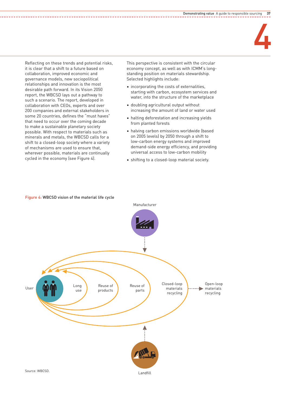

Reflecting on these trends and potential risks, it is clear that a shift to a future based on collaboration, improved economic and governance models, new sociopolitical relationships and innovation is the most desirable path forward. In its Vision 2050 report, the WBCSD lays out a pathway to such a scenario. The report, developed in collaboration with CEOs, experts and over 200 companies and external stakeholders in some 20 countries, defines the "must haves" that need to occur over the coming decade to make a sustainable planetary society possible. With respect to materials such as minerals and metals, the WBCSD calls for a shift to a closed-loop society where a variety of mechanisms are used to ensure that, wherever possible, materials are continually cycled in the economy (see Figure 4).

This perspective is consistent with the circular economy concept, as well as with ICMM's longstanding position on materials stewardship. Selected highlights include:

- incorporating the costs of externalities, starting with carbon, ecosystem services and water, into the structure of the marketplace
- doubling agricultural output without increasing the amount of land or water used
- halting deforestation and increasing yields from planted forests
- halving carbon emissions worldwide (based on 2005 levels) by 2050 through a shift to low-carbon energy systems and improved demand-side energy efficiency, and providing universal access to low-carbon mobility
- shifting to a closed-loop material society.



## Figure 4: WBCSD vision of the material life cycle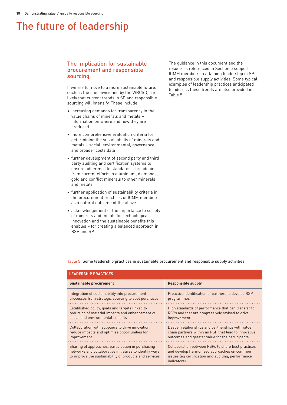# The future of leadership

# The implication for sustainable procurement and responsible sourcing

If we are to move to a more sustainable future, such as the one envisioned by the WBCSD, it is likely that current trends in SP and responsible sourcing will intensify. These include:

- increasing demands for transparency in the value chains of minerals and metals – information on where and how they are produced
- more comprehensive evaluation criteria for determining the sustainability of minerals and metals – social, environmental, governance and broader costs data
- further development of second party and third party auditing and certification systems to ensure adherence to standards – broadening from current efforts in aluminium, diamonds, gold and conflict minerals to other minerals and metals
- further application of sustainability criteria in the procurement practices of ICMM members as a natural outcome of the above
- acknowledgement of the importance to society of minerals and metals for technological innovation and the sustainable benefits this enables – for creating a balanced approach in RSP and SP.

The guidance in this document and the resources referenced in Section 5 support ICMM members in attaining leadership in SP and responsible supply activities. Some typical examples of leadership practices anticipated to address these trends are also provided in Table 5.

|  |  | Table 5: Some leadership practices in sustainable procurement and responsible supply activities |
|--|--|-------------------------------------------------------------------------------------------------|
|--|--|-------------------------------------------------------------------------------------------------|

| <b>LEADERSHIP PRACTICES</b>                                                                                                                                             |                                                                                                                                                                        |  |  |
|-------------------------------------------------------------------------------------------------------------------------------------------------------------------------|------------------------------------------------------------------------------------------------------------------------------------------------------------------------|--|--|
| Sustainable procurement                                                                                                                                                 | <b>Responsible supply</b>                                                                                                                                              |  |  |
| Integration of sustainability into procurement                                                                                                                          | Proactive identification of partners to develop RSP                                                                                                                    |  |  |
| processes from strategic sourcing to spot purchases                                                                                                                     | programmes                                                                                                                                                             |  |  |
| Established policy, goals and targets linked to                                                                                                                         | High standards of performance that can transfer to                                                                                                                     |  |  |
| reduction of material impacts and enhancement of                                                                                                                        | RSPs and that are progressively revised to drive                                                                                                                       |  |  |
| social and environmental benefits                                                                                                                                       | improvement                                                                                                                                                            |  |  |
| Collaboration with suppliers to drive innovation,                                                                                                                       | Deeper relationships and partnerships with value                                                                                                                       |  |  |
| reduce impacts and optimise opportunities for                                                                                                                           | chain partners within an RSP that lead to innovative                                                                                                                   |  |  |
| improvement                                                                                                                                                             | outcomes and greater value for the participants                                                                                                                        |  |  |
| Sharing of approaches, participation in purchasing<br>networks and collaborative initiatives to identify ways<br>to improve the sustainability of products and services | Collaboration between RSPs to share best practices<br>and develop harmonised approaches on common<br>issues (eg certification and auditing, performance<br>indicatorsl |  |  |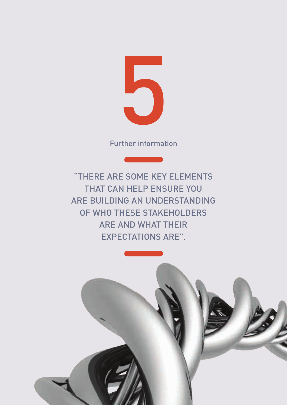

Further information

"THERE ARE SOME KEY ELEMENTS THAT CAN HELP ENSURE YOU ARE BUILDING AN UNDERSTANDING OF WHO THESE STAKEHOLDERS ARE AND WHAT THEIR EXPECTATIONS ARE".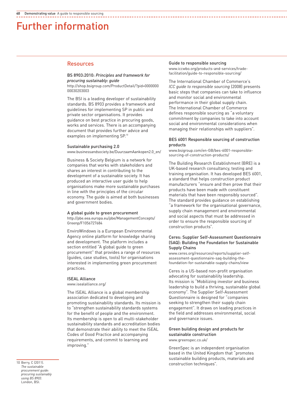# Further information

## Resources

## BS 8903:2010: *Principles and framework for procuring sustainably: guide*

[http://shop.bsigroup.com/ProductDetail/?pid=0000000](http://shop.bsigroup.com/ProductDetail/?pid=000000000030203003) [00030203003](http://shop.bsigroup.com/ProductDetail/?pid=000000000030203003)

The BSI is a leading developer of sustainability standards. BS 8903 provides a framework and guidelines for implementing SP in public and private sector organisations. It provides guidance on best practice in procuring goods, works and services. There is an accompanying document that provides further advice and examples on implementing SP.10

#### Sustainable purchasing 2.0

[www.businessandsociety.be/DuurzaamAankopen2.0\\_en/](www.businessandsociety.be/DuurzaamAankopen2.0_en)

Business & Society Belgium is a network for companies that works with stakeholders and shares an interest in contributing to the development of a sustainable society. It has produced an interactive user guide to help organisations make more sustainable purchases in line with the principles of the circular economy. The guide is aimed at both businesses and government bodies.

#### A global guide to green procurement

[http://pbe.eea.europa.eu/pbe/ManagementConcepts/](http://pbe.eea.europa.eu/pbe/ManagementConcepts/Greenp/F1056727684) [Greenp/F1056727684](http://pbe.eea.europa.eu/pbe/ManagementConcepts/Greenp/F1056727684)

EnviroWindows is a European Environmental Agency online platform for knowledge sharing and development. The platform includes a section entitled "A global guide to green procurement" that provides a range of resources (guides, case studies, tools) for organisations interested in implementing green procurement practices.

#### ISEAL Alliance

<www.isealalliance.org/>

The ISEAL Alliance is a global membership association dedicated to developing and promoting sustainability standards. Its mission is to "strengthen sustainability standards systems for the benefit of people and the environment. Its membership is open to all multi-stakeholder sustainability standards and accreditation bodies that demonstrate their ability to meet the ISEAL Codes of Good Practice and accompanying requirements, and commit to learning and improving."

#### Guide to responsible sourcing

[www.iccwbo.org/products-and-services/trade](www.iccwbo.org/products-and-services/trade-facilitation/guide-to-responsible-sourcing/)[facilitation/guide-to-responsible-sourcing/](www.iccwbo.org/products-and-services/trade-facilitation/guide-to-responsible-sourcing/)

The International Chamber of Commerce's *ICC guide to responsible sourcing* (2008) presents basic steps that companies can take to influence and monitor social and environmental performance in their global supply chain. The International Chamber of Commerce defines responsible sourcing as "a voluntary commitment by companies to take into account social and environmental considerations when managing their relationships with suppliers".

## BES 6001 Responsible sourcing of construction products

[www.bsigroup.com/en-GB/bes-6001-responsible](www.bsigroup.com/en-GB/bes-6001-responsible-sourcing-of-construction-products/)[sourcing-of-construction-products/](www.bsigroup.com/en-GB/bes-6001-responsible-sourcing-of-construction-products/)

The Building Research Establishment (BRE) is a UK-based research consultancy, testing and training organisation. It has developed BES 6001, a standard that helps construction product manufacturers "ensure and then prove that their products have been made with constituent materials that have been responsibly sourced". The standard provides guidance on establishing "a framework for the organisational governance, supply chain management and environmental and social aspects that must be addressed in order to ensure the responsible sourcing of construction products".

## Ceres: Supplier Self-Assessment Questionnaire (SAQ): Building the Foundation for Sustainable Supply Chains

[www.ceres.org/resources/reports/supplier-self](www.ceres.org/resources/reports/supplier-self-assessment-questionnaire-saq-building-the-foundation-for-sustainable-supply-chains/view)[assessment-questionnaire-saq-building-the](www.ceres.org/resources/reports/supplier-self-assessment-questionnaire-saq-building-the-foundation-for-sustainable-supply-chains/view)[foundation-for-sustainable-supply-chains/view](www.ceres.org/resources/reports/supplier-self-assessment-questionnaire-saq-building-the-foundation-for-sustainable-supply-chains/view)

Ceres is a US-based non-profit organisation advocating for sustainability leadership. Its mission is "Mobilizing investor and business leadership to build a thriving, sustainable global economy". The Supplier Self-Assessment Questionnaire is designed for "companies seeking to strengthen their supply chain engagement". It draws on leading practices in the field and addresses environmental, social and governance issues.

## Green building design and products for sustainable construction <www.greenspec.co.uk/>

GreenSpec is an independent organisation based in the United Kingdom that "promotes sustainable building products, materials and construction techniques".

10 Berry, C (2011). *The sustainable procurement guide: procuring sustainably using BS 8903*. London, BSI.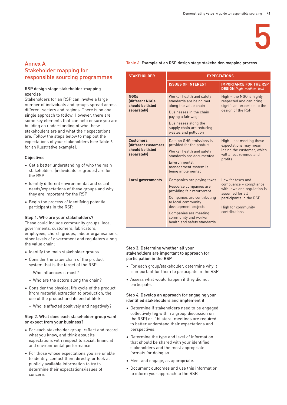# Annex A Stakeholder mapping for responsible sourcing programmes

## RSP design stage stakeholder-mapping exercise

Stakeholders for an RSP can involve a large number of individuals and groups spread across different sectors and regions. There is no one, single approach to follow. However, there are some key elements that can help ensure you are building an understanding of who these stakeholders are and what their expectations are. Follow the steps below to map out the expectations of your stakeholders (see Table 6 for an illustrative example).

## **Objectives**

- Get a better understanding of who the main stakeholders (individuals or groups) are for the RSP
- Identify different environmental and social needs/expectations of these groups and why they are important for the RSP
- Begin the process of identifying potential participants in the RSP.

# Step 1. Who are your stakeholders?

These could include community groups, local governments, customers, fabricators, employees, church groups, labour organisations, other levels of government and regulators along the value chain:

- Identify the main stakeholder groups
- Consider the value chain of the product system that is the target of the RSP:
	- Who influences it most?
	- Who are the actors along the chain?
- Consider the physical life cycle of the product (from material extraction to production, the use of the product and its end of life):
	- Who is affected positively and negatively?

## Step 2. What does each stakeholder group want or expect from your business?

- For each stakeholder group, reflect and record what you know, and think about its expectations with respect to social, financial and environmental performance
- For those whose expectations you are unable to identify, contact them directly, or look at publicly available information to try to determine their expectations/issues of concern.

## Table 6: Example of an RSP design stage stakeholder-mapping process

| <b>STAKEHOLDER</b>                                                                 | <b>EXPECTATIONS</b>                                                                                                                                                                                                                            |                                                                                                                                                                  |  |
|------------------------------------------------------------------------------------|------------------------------------------------------------------------------------------------------------------------------------------------------------------------------------------------------------------------------------------------|------------------------------------------------------------------------------------------------------------------------------------------------------------------|--|
|                                                                                    | <b>ISSUES OF INTEREST</b>                                                                                                                                                                                                                      | <b>IMPORTANCE FOR THE RSP</b><br><b>DESIGN</b> (high-medium-low)                                                                                                 |  |
| <b>NGOs</b><br><b>Idifferent NGOs</b><br>should be listed<br>separately)           | Worker health and safety<br>standards are being met<br>along the value chain<br>Businesses in the chain<br>paying a fair wage<br>Businesses along the<br>supply chain are reducing<br>wastes and pollution                                     | High - the NGO is highly<br>respected and can bring<br>significant expertise to the<br>design of the RSP                                                         |  |
| <b>Customers</b><br><b>Idifferent customers</b><br>should be listed<br>separately) | Data on GHG emissions is<br>provided for the product<br>Worker health and safety<br>standards are documented<br><b>Environmental</b><br>management system is<br>being implemented                                                              | High - not meeting these<br>expectations may mean<br>losing the customer, which<br>will affect revenue and<br>profits                                            |  |
| <b>Local governments</b>                                                           | Companies are paying taxes<br>Resource companies are<br>providing fair return/rent<br>Companies are contributing<br>to local community<br>development projects<br>Companies are meeting<br>community and worker<br>health and safety standards | Low for taxes and<br>compliance - compliance<br>with laws and regulation is<br>assumed for all<br>participants in the RSP<br>High for community<br>contributions |  |

## Step 3. Determine whether all your stakeholders are important to approach for participation in the RSP

- For each group/stakeholder, determine why it is important for them to participate in the RSP
- Assess what would happen if they did not participate.

## Step 4. Develop an approach for engaging your identified stakeholders and implement it

- Determine if stakeholders need to be engaged collectively (eg within a group discussion on the RSP) or if bilateral meetings are required to better understand their expectations and perspectives.
- Determine the type and level of information that should be shared with your identified stakeholders and the most appropriate formats for doing so.
- Meet and engage, as appropriate.
- Document outcomes and use this information to inform your approach to the RSP.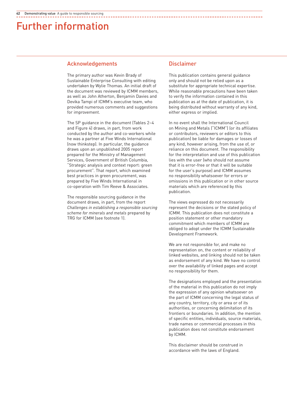# Further information

# Acknowledgements

The primary author was Kevin Brady of Sustainable Enterprise Consulting with editing undertaken by Wylie Thomas. An initial draft of the document was reviewed by ICMM members, as well as John Atherton, Benjamin Davies and Devika Tampi of ICMM's executive team, who provided numerous comments and suggestions for improvement.

The SP guidance in the document (Tables 2–4 and Figure 4) draws, in part, from work conducted by the author and co-workers while he was a partner at Five Winds International (now thinkstep). In particular, the guidance draws upon an unpublished 2005 report prepared for the Ministry of Management Services, Government of British Columbia, "Strategic analysis and context report: green procurement". That report, which examined best practices in green procurement, was prepared by Five Winds International in co-operation with Tim Reeve & Associates.

The responsible sourcing guidance in the document draws, in part, from the report *Challenges in establishing a responsible sourcing scheme for minerals and metals* prepared by TRG for ICMM (see footnote 1).

# Disclaimer

This publication contains general guidance only and should not be relied upon as a substitute for appropriate technical expertise. While reasonable precautions have been taken to verify the information contained in this publication as at the date of publication, it is being distributed without warranty of any kind, either express or implied.

In no event shall the International Council on Mining and Metals ("ICMM") (or its affiliates or contributors, reviewers or editors to this publication) be liable for damages or losses of any kind, however arising, from the use of, or reliance on this document. The responsibility for the interpretation and use of this publication lies with the user (who should not assume that it is error-free or that it will be suitable for the user's purpose) and ICMM assumes no responsibility whatsoever for errors or omissions in this publication or in other source materials which are referenced by this publication.

The views expressed do not necessarily represent the decisions or the stated policy of ICMM. This publication does not constitute a position statement or other mandatory commitment which members of ICMM are obliged to adopt under the ICMM Sustainable Development Framework.

We are not responsible for, and make no representation on, the content or reliability of linked websites, and linking should not be taken as endorsement of any kind. We have no control over the availability of linked pages and accept no responsibility for them.

The designations employed and the presentation of the material in this publication do not imply the expression of any opinion whatsoever on the part of ICMM concerning the legal status of any country, territory, city or area or of its authorities, or concerning delimitation of its frontiers or boundaries. In addition, the mention of specific entities, individuals, source materials, trade names or commercial processes in this publication does not constitute endorsement by ICMM.

This disclaimer should be construed in accordance with the laws of England.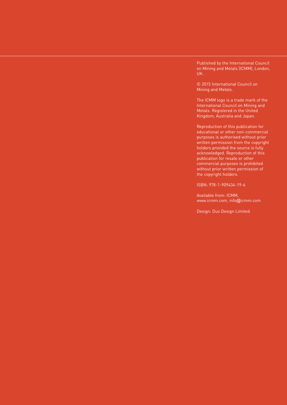Published by the International Council on Mining and Metals (ICMM), London, UK.

© 2015 International Council on Mining and Metals.

The ICMM logo is a trade mark of the International Council on Mining and Metals. Registered in the United Kingdom, Australia and Japan.

Reproduction of this publication for educational or other non-commercial purposes is authorised without prior written permission from the copyright holders provided the source is fully acknowledged. Reproduction of this publication for resale or other commercial purposes is prohibited without prior written permission of the copyright holders.

ISBN: 978-1-909434-19-6

Available from: ICMM, [www.icmm.com,](www.icmm.com) info@[icmm.com](mailto:info@icmm.com)

Design: Duo Design Limited